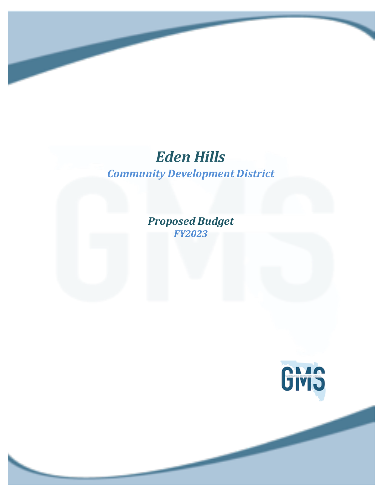## *Community Development District Eden Hills*

*Proposed Budget FY2023*

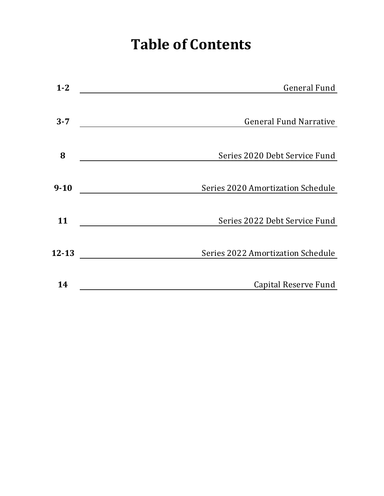# **Table of Contents**

| $1 - 2$   | <b>General Fund</b>               |
|-----------|-----------------------------------|
|           |                                   |
| $3 - 7$   | <b>General Fund Narrative</b>     |
|           |                                   |
| 8         | Series 2020 Debt Service Fund     |
|           |                                   |
| $9 - 10$  | Series 2020 Amortization Schedule |
|           |                                   |
| 11        | Series 2022 Debt Service Fund     |
|           |                                   |
| $12 - 13$ | Series 2022 Amortization Schedule |
|           |                                   |
| 14        | Capital Reserve Fund              |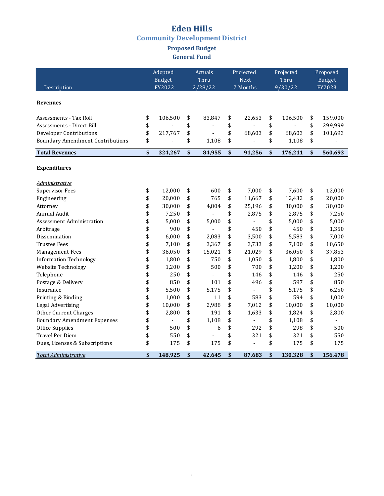### **Eden Hills Community Development District**

### **Proposed Budget General Fund**

|                                         | Adopted       | Actuals                        | Projected            | Projected            | Proposed      |
|-----------------------------------------|---------------|--------------------------------|----------------------|----------------------|---------------|
|                                         | <b>Budget</b> | Thru                           | Next                 | Thru                 | <b>Budget</b> |
| Description                             | FY2022        | 2/28/22                        | 7 Months             | 9/30/22              | FY2023        |
|                                         |               |                                |                      |                      |               |
| <b>Revenues</b>                         |               |                                |                      |                      |               |
| Assessments - Tax Roll                  | \$<br>106,500 | \$<br>83,847                   | \$<br>22,653         | \$<br>106,500        | \$<br>159,000 |
| Assessments - Direct Bill               | \$            | \$                             | \$                   | \$<br>$\blacksquare$ | \$<br>299,999 |
| Developer Contributions                 | \$<br>217,767 | \$                             | \$<br>68,603         | \$<br>68,603         | \$<br>101,693 |
| <b>Boundary Amendment Contributions</b> | \$            | \$<br>1,108                    | \$<br>$\overline{a}$ | \$<br>1,108          | \$            |
|                                         |               |                                |                      |                      |               |
| <b>Total Revenues</b>                   | \$<br>324,267 | \$<br>84,955                   | \$<br>91,256         | \$<br>176,211        | \$<br>560,693 |
|                                         |               |                                |                      |                      |               |
| <b>Expenditures</b>                     |               |                                |                      |                      |               |
| Administrative                          |               |                                |                      |                      |               |
| <b>Supervisor Fees</b>                  | \$<br>12,000  | \$<br>600                      | \$<br>7.000          | \$<br>7.600          | \$<br>12.000  |
| Engineering                             | \$<br>20,000  | \$<br>765                      | \$<br>11,667         | \$<br>12,432         | \$<br>20,000  |
| Attorney                                | \$<br>30,000  | \$<br>4,804                    | \$<br>25,196         | \$<br>30,000         | \$<br>30,000  |
| Annual Audit                            | \$<br>7,250   | \$                             | \$<br>2,875          | \$<br>2,875          | \$<br>7,250   |
| Assessment Administration               | \$<br>5,000   | \$<br>5,000                    | \$                   | \$<br>5,000          | \$<br>5,000   |
| Arbitrage                               | \$<br>900     | \$                             | \$<br>450            | \$<br>450            | \$<br>1,350   |
| Dissemination                           | \$<br>6,000   | \$<br>2,083                    | \$<br>3,500          | \$<br>5,583          | \$<br>7,000   |
| <b>Trustee Fees</b>                     | \$<br>7,100   | \$<br>3,367                    | \$<br>3,733          | \$<br>7,100          | \$<br>10,650  |
| Management Fees                         | \$<br>36,050  | \$<br>15,021                   | \$<br>21,029         | \$<br>36,050         | \$<br>37,853  |
| <b>Information Technology</b>           | \$<br>1,800   | \$<br>750                      | \$<br>1,050          | \$<br>1,800          | \$<br>1,800   |
| Website Technology                      | \$<br>1,200   | \$<br>500                      | \$<br>700            | \$<br>1,200          | \$<br>1,200   |
| Telephone                               | \$<br>250     | \$<br>$\blacksquare$           | \$<br>146            | \$<br>146            | \$<br>250     |
| Postage & Delivery                      | \$<br>850     | \$<br>101                      | \$<br>496            | \$<br>597            | \$<br>850     |
| Insurance                               | \$<br>5,500   | \$<br>5,175                    | \$<br>$\overline{a}$ | \$<br>5,175          | \$<br>6,250   |
| Printing & Binding                      | \$<br>1,000   | \$<br>11                       | \$<br>583            | \$<br>594            | \$<br>1,000   |
| Legal Advertising                       | \$<br>10,000  | \$<br>2,988                    | \$<br>7,012          | \$<br>10,000         | \$<br>10,000  |
| <b>Other Current Charges</b>            | \$<br>2,800   | \$<br>191                      | \$<br>1,633          | \$<br>1,824          | \$<br>2,800   |
| <b>Boundary Amendment Expenses</b>      | \$            | \$<br>1,108                    | \$<br>$\overline{a}$ | \$<br>1,108          | \$            |
| Office Supplies                         | \$<br>500     | \$<br>6                        | \$<br>292            | \$<br>298            | \$<br>500     |
| <b>Travel Per Diem</b>                  | \$<br>550     | \$<br>$\overline{\phantom{a}}$ | \$<br>321            | \$<br>321            | \$<br>550     |
| Dues, Licenses & Subscriptions          | \$<br>175     | \$<br>175                      | \$<br>$\overline{a}$ | \$<br>175            | \$<br>175     |
| Total Administrative                    | \$<br>148,925 | \$<br>42,645                   | \$<br>87,683         | \$<br>130,328        | \$<br>156,478 |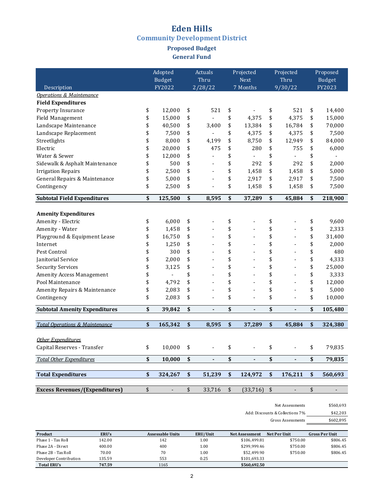### **Eden Hills Community Development District**

### **Proposed Budget General Fund**

|                                           | Adopted       |                           | Actuals                      |     | Projected      |     | Projected                |                   | Proposed      |
|-------------------------------------------|---------------|---------------------------|------------------------------|-----|----------------|-----|--------------------------|-------------------|---------------|
|                                           | <b>Budget</b> |                           | Thru                         |     | Next           |     | Thru                     |                   | <b>Budget</b> |
| Description                               | FY2022        |                           | 2/28/22                      |     | 7 Months       |     | 9/30/22                  |                   | FY2023        |
| Operations & Maintenance                  |               |                           |                              |     |                |     |                          |                   |               |
| <b>Field Expenditures</b>                 |               |                           |                              |     |                |     |                          |                   |               |
| Property Insurance                        | \$<br>12,000  | \$                        | 521                          | \$  |                | \$  | 521                      | \$                | 14,400        |
| Field Management                          | \$<br>15,000  | \$                        |                              | \$  | 4,375          | \$  | 4,375                    | \$                | 15,000        |
| Landscape Maintenance                     | \$<br>40,500  | \$                        | 3,400                        | \$  | 13,384         | \$  | 16,784                   | \$                | 70,000        |
| Landscape Replacement                     | \$<br>7,500   | \$                        |                              | \$  | 4,375          | \$  | 4,375                    | \$                | 7,500         |
| Streetlights                              | \$<br>8,000   | \$                        | 4,199                        | \$  | 8,750          | \$  | 12,949                   | \$                | 84,000        |
| Electric                                  | \$<br>20,000  | \$                        | 475                          | \$  | 280            | \$  | 755                      | \$                | 6,000         |
| Water & Sewer                             | \$<br>12,000  | \$                        |                              | \$  |                | \$  | $\overline{\phantom{a}}$ | \$                |               |
| Sidewalk & Asphalt Maintenance            | \$<br>500     | \$                        |                              | \$  | 292            | \$  | 292                      | \$                | 2,000         |
| <b>Irrigation Repairs</b>                 | \$<br>2,500   | \$                        | $\overline{\phantom{a}}$     | \$  | 1,458          | \$  | 1,458                    | \$                | 5,000         |
| General Repairs & Maintenance             | \$<br>5,000   | \$                        |                              | \$  | 2,917          | \$  | 2,917                    | \$                | 7,500         |
| Contingency                               | \$<br>2,500   | \$                        | $\overline{a}$               | \$  | 1,458          | \$  | 1,458                    | \$                | 7,500         |
| <b>Subtotal Field Expenditures</b>        | \$<br>125,500 | \$                        | 8,595                        | \$  | 37,289         | \$  | 45,884                   | \$                | 218,900       |
|                                           |               |                           |                              |     |                |     |                          |                   |               |
| <b>Amenity Expenditures</b>               |               |                           |                              |     |                |     |                          |                   |               |
| Amenity - Electric                        | \$<br>6,000   | \$                        |                              | \$  |                | \$  |                          | \$                | 9,600         |
| Amenity - Water                           | \$<br>1,458   | \$                        |                              | \$  |                | \$  |                          | \$                | 2,333         |
| Playground & Equipment Lease              | \$<br>16,750  | \$                        |                              | \$  |                | \$  |                          | \$                | 31,400        |
| Internet                                  | \$<br>1,250   | \$                        |                              | \$  |                | \$  |                          | \$                | 2,000         |
| Pest Control                              | \$<br>300     | \$                        |                              | \$  |                | \$  |                          | \$                | 480           |
| Janitorial Service                        | \$<br>2,000   | \$                        |                              | \$  |                | \$  |                          | \$                | 4,333         |
| <b>Security Services</b>                  | \$<br>3,125   | \$                        |                              | \$  |                | \$  |                          | \$                | 25,000        |
| <b>Amenity Access Management</b>          | \$            | \$                        |                              | \$  |                | \$  |                          | \$                | 3,333         |
| Pool Maintenance                          | \$<br>4,792   | \$                        |                              | \$  | ÷              | \$  |                          | \$                | 12,000        |
| Amenity Repairs & Maintenance             | \$<br>2,083   | \$                        |                              | \$  | $\overline{a}$ | \$  |                          | \$                | 5,000         |
| Contingency                               | \$<br>2,083   | \$                        | $\overline{a}$               | \$  | $\overline{a}$ | \$  | $\overline{a}$           | \$                | 10,000        |
| <b>Subtotal Amenity Expenditures</b>      | \$<br>39,842  | \$                        | $\qquad \qquad \blacksquare$ | \$  | ٠              | \$  | $\overline{\phantom{a}}$ | \$                | 105,480       |
| <b>Total Operations &amp; Maintenance</b> | \$<br>165,342 | \$                        | 8,595                        | \$  | 37,289         | \$  | 45,884                   | \$                | 324,380       |
|                                           |               |                           |                              |     |                |     |                          |                   |               |
| Other Expenditures                        |               |                           |                              |     |                |     |                          |                   |               |
| Capital Reserves - Transfer               | \$<br>10,000  | \$.                       |                              | \$. |                | \$. |                          | \$.               | 79,835        |
| <b>Total Other Expenditures</b>           | \$<br>10,000  | \$                        | ä,                           | \$  | $\mathbf{r}$   | \$  | L.                       | \$                | 79,835        |
| <b>Total Expenditures</b>                 | \$<br>324,267 | $\boldsymbol{\mathsf{s}}$ | 51,239                       | \$  | 124,972        | \$  | 176,211                  | $\boldsymbol{\$}$ | 560,693       |
|                                           |               |                           |                              |     |                |     |                          |                   |               |
| <b>Excess Revenues/(Expenditures)</b>     | \$            | \$                        | 33,716                       | \$  | (33, 716)      | \$  |                          | \$                |               |

#### Net Assessments \$560,693

Add: Discounts & Collections 7% 542,203<br>Gross Assessments

 $\ensuremath{\mathsf{Gross}}$  Assessments

| Product                | ERU's  | <b>Assessable Units</b> | ERU/Unit | <b>Net Assessment</b> | <b>Net Per Unit</b> | <b>Gross Per Unit</b> |
|------------------------|--------|-------------------------|----------|-----------------------|---------------------|-----------------------|
| Phase 1 - Tax Roll     | 142.00 | 142                     | 1.00     | \$106.499.81          | \$750.00            | \$806.45              |
| Phase 2A - Direct      | 400.00 | 400                     | 1.00     | \$299.999.46          | \$750.00            | \$806.45              |
| Phase 2B - Tax Roll    | 70.00  | 70                      | 1.00     | \$52.499.90           | \$750.00            | \$806.45              |
| Developer Contribution | 135.59 | 553                     | 0.25     | \$101.693.33          |                     |                       |
| <b>Total ERU's</b>     | 747.59 | 1165                    |          | \$560,692.50          |                     |                       |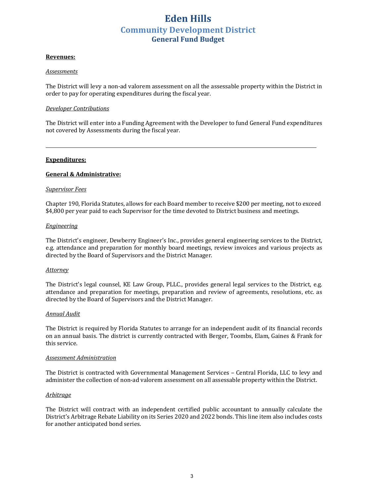#### **Revenues:**

#### *Assessments*

The District will levy a non-ad valorem assessment on all the assessable property within the District in order to pay for operating expenditures during the fiscal year.

#### *Developer Contributions*

The District will enter into a Funding Agreement with the Developer to fund General Fund expenditures not covered by Assessments during the fiscal year.

<u>*<u></u>*</u>

#### **Expenditures:**

#### **General & Administrative:**

#### *Supervisor Fees*

Chapter 190, Florida Statutes, allows for each Board member to receive \$200 per meeting, not to exceed \$4,800 per year paid to each Supervisor for the time devoted to District business and meetings.

#### *Engineering*

The District's engineer, Dewberry Engineer's Inc., provides general engineering services to the District, e.g. attendance and preparation for monthly board meetings, review invoices and various projects as directed by the Board of Supervisors and the District Manager.

#### *Attorney*

The District's legal counsel, KE Law Group, PLLC., provides general legal services to the District, e.g. attendance and preparation for meetings, preparation and review of agreements, resolutions, etc. as directed by the Board of Supervisors and the District Manager.

#### *Annual Audit*

The District is required by Florida Statutes to arrange for an independent audit of its financial records on an annual basis. The district is currently contracted with Berger, Toombs, Elam, Gaines & Frank for this service.

#### *Assessment Administration*

The District is contracted with Governmental Management Services - Central Florida, LLC to levy and administer the collection of non-ad valorem assessment on all assessable property within the District.

#### *Arbitrage*

The District will contract with an independent certified public accountant to annually calculate the District's Arbitrage Rebate Liability on its Series 2020 and 2022 bonds. This line item also includes costs for another anticipated bond series.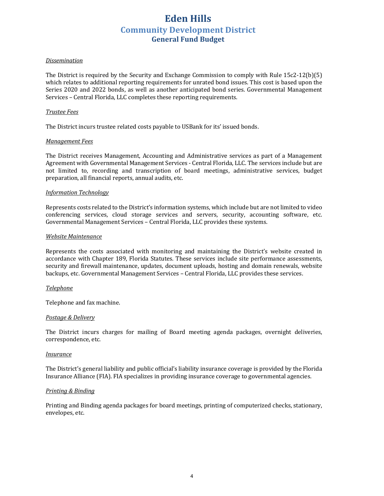#### *Dissemination*

The District is required by the Security and Exchange Commission to comply with Rule  $15c2-12(b)(5)$ which relates to additional reporting requirements for unrated bond issues. This cost is based upon the Series 2020 and 2022 bonds, as well as another anticipated bond series. Governmental Management Services – Central Florida, LLC completes these reporting requirements.

#### *Trustee Fees*

The District incurs trustee related costs payable to USBank for its' issued bonds.

#### *Management Fees*

The District receives Management, Accounting and Administrative services as part of a Management Agreement with Governmental Management Services - Central Florida, LLC. The services include but are not limited to, recording and transcription of board meetings, administrative services, budget preparation, all financial reports, annual audits, etc.

#### *Information Technology*

Represents costs related to the District's information systems, which include but are not limited to video conferencing services, cloud storage services and servers, security, accounting software, etc. Governmental Management Services - Central Florida, LLC provides these systems.

#### *Website Maintenance*

Represents the costs associated with monitoring and maintaining the District's website created in accordance with Chapter 189, Florida Statutes. These services include site performance assessments, security and firewall maintenance, updates, document uploads, hosting and domain renewals, website backups, etc. Governmental Management Services - Central Florida, LLC provides these services.

#### *Telephone*

Telephone and fax machine.

#### *Postage & Delivery*

The District incurs charges for mailing of Board meeting agenda packages, overnight deliveries, correspondence, etc.

#### *Insurance*

The District's general liability and public official's liability insurance coverage is provided by the Florida Insurance Alliance (FIA). FIA specializes in providing insurance coverage to governmental agencies.

#### *Printing & Binding*

Printing and Binding agenda packages for board meetings, printing of computerized checks, stationary, envelopes, etc.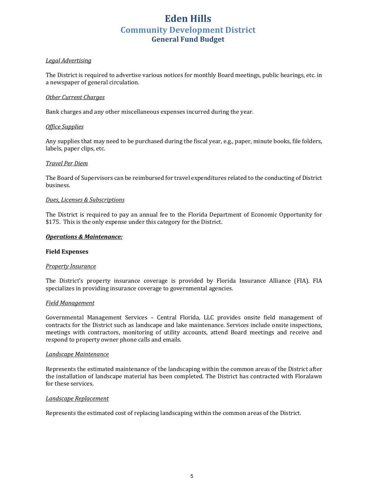#### *Legal Advertising*

The District is required to advertise various notices for monthly Board meetings, public hearings, etc. in a newspaper of general circulation.

#### *Other Current Charges*

Bank charges and any other miscellaneous expenses incurred during the year.

#### *Office Supplies*

Any supplies that may need to be purchased during the fiscal year, e.g., paper, minute books, file folders, labels, paper clips, etc.

#### *Travel Per Diem*

The Board of Supervisors can be reimbursed for travel expenditures related to the conducting of District business.

#### *Dues, Licenses & Subscriptions*

The District is required to pay an annual fee to the Florida Department of Economic Opportunity for \$175. This is the only expense under this category for the District.

#### **Operations & Maintenance:**

#### **Field Expenses**

#### *Property Insurance*

The District's property insurance coverage is provided by Florida Insurance Alliance (FIA). FIA specializes in providing insurance coverage to governmental agencies.

#### *Field Management*

Governmental Management Services - Central Florida, LLC provides onsite field management of contracts for the District such as landscape and lake maintenance. Services include onsite inspections, meetings with contractors, monitoring of utility accounts, attend Board meetings and receive and respond to property owner phone calls and emails.

#### *Landscape Maintenance*

Represents the estimated maintenance of the landscaping within the common areas of the District after the installation of landscape material has been completed. The District has contracted with Floralawn for these services.

#### *Landscape Replacement*

Represents the estimated cost of replacing landscaping within the common areas of the District.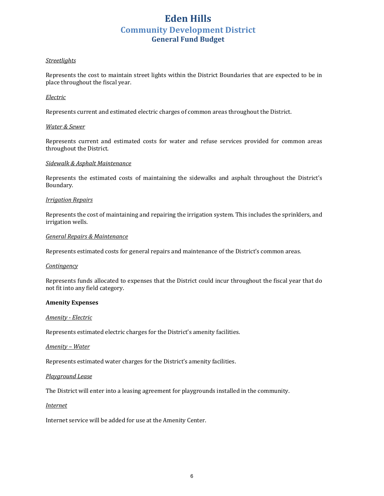#### *Streetlights*

Represents the cost to maintain street lights within the District Boundaries that are expected to be in place throughout the fiscal year.

#### *Electric*

Represents current and estimated electric charges of common areas throughout the District.

#### *Water & Sewer*

Represents current and estimated costs for water and refuse services provided for common areas throughout the District.

#### *Sidewalk & Asphalt Maintenance*

Represents the estimated costs of maintaining the sidewalks and asphalt throughout the District's Boundary.

#### *Irrigation Repairs*

Represents the cost of maintaining and repairing the irrigation system. This includes the sprinklers, and irrigation wells.

#### *General Repairs & Maintenance*

Represents estimated costs for general repairs and maintenance of the District's common areas.

#### *Contingency*

Represents funds allocated to expenses that the District could incur throughout the fiscal year that do not fit into any field category.

#### **Amenity Expenses**

#### *Amenity - Electric*

Represents estimated electric charges for the District's amenity facilities.

#### *Amenity* – Water

Represents estimated water charges for the District's amenity facilities.

#### *Playground Lease*

The District will enter into a leasing agreement for playgrounds installed in the community.

#### *Internet*

Internet service will be added for use at the Amenity Center.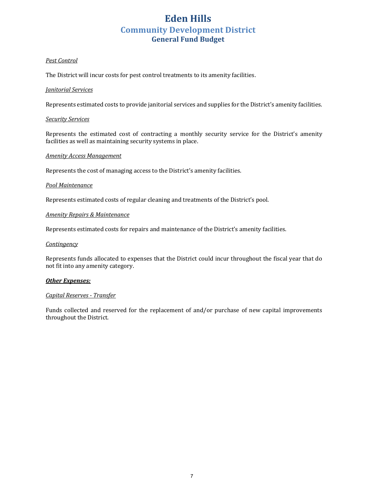#### *Pest Control*

The District will incur costs for pest control treatments to its amenity facilities.

#### *Janitorial Services*

Represents estimated costs to provide janitorial services and supplies for the District's amenity facilities.

#### *Security Services*

Represents the estimated cost of contracting a monthly security service for the District's amenity facilities as well as maintaining security systems in place.

#### *Amenity Access Management*

Represents the cost of managing access to the District's amenity facilities.

#### *Pool Maintenance*

Represents estimated costs of regular cleaning and treatments of the District's pool.

#### *Amenity Repairs & Maintenance*

Represents estimated costs for repairs and maintenance of the District's amenity facilities.

#### *Contingency*

Represents funds allocated to expenses that the District could incur throughout the fiscal year that do not fit into any amenity category.

#### **Other Expenses:**

#### *Capital Reserves - Transfer*

Funds collected and reserved for the replacement of and/or purchase of new capital improvements throughout the District.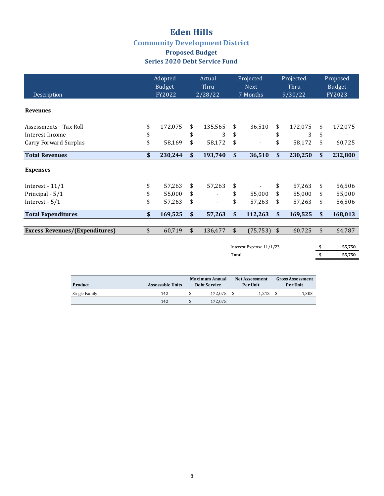### **Eden Hills Community Development District Proposed Budget**

## **Series 2020 Debt Service Fund**

|                                       | Adopted<br>Budget |               | Actual<br>Thru |                          | Projected<br><b>Next</b> |               | Projected<br>Thru |    | Proposed<br><b>Budget</b> |
|---------------------------------------|-------------------|---------------|----------------|--------------------------|--------------------------|---------------|-------------------|----|---------------------------|
| Description                           | FY2022            |               | 2/28/22        |                          | 7 Months                 |               | 9/30/22           |    | FY2023                    |
| <b>Revenues</b>                       |                   |               |                |                          |                          |               |                   |    |                           |
| Assessments - Tax Roll                | \$<br>172,075     | \$            | 135,565        | \$                       | 36,510                   | \$            | 172,075           | \$ | 172,075                   |
| Interest Income                       | \$                | \$            | 3              | \$                       |                          | \$            | 3                 | \$ |                           |
| Carry Forward Surplus                 | \$<br>58,169      | \$            | 58,172         | \$                       |                          | \$            | 58,172            | \$ | 60,725                    |
| <b>Total Revenues</b>                 | \$<br>230,244     | \$            | 193,740        | \$                       | 36,510                   | \$            | 230,250           | \$ | 232,800                   |
| <b>Expenses</b>                       |                   |               |                |                          |                          |               |                   |    |                           |
| Interest - $11/1$                     | \$<br>57,263      | \$            | 57,263         | \$                       |                          | \$            | 57,263            | \$ | 56,506                    |
| Principal - 5/1                       | \$<br>55,000      | \$            |                | \$                       | 55,000                   | \$            | 55,000            | \$ | 55,000                    |
| Interest - 5/1                        | \$<br>57,263      | \$            | $\blacksquare$ | \$                       | 57,263                   | \$            | 57,263            | \$ | 56,506                    |
| <b>Total Expenditures</b>             | \$<br>169,525     | \$            | 57,263         | \$                       | 112,263                  | \$            | 169,525           | \$ | 168,013                   |
|                                       |                   |               |                |                          |                          |               |                   |    |                           |
| <b>Excess Revenues/(Expenditures)</b> | \$<br>60,719      | $\frac{1}{2}$ | 136,477        | \$                       | (75, 753)                | $\frac{1}{2}$ | 60,725            | \$ | 64,787                    |
|                                       |                   |               |                | Interest Expense 11/1/23 |                          |               |                   |    |                           |
|                                       |                   |               |                | Total                    |                          |               |                   | \$ | 55,750                    |
|                                       |                   |               |                |                          |                          |               |                   |    |                           |

| Product       | <b>Assessable Units</b> | <b>Maximum Annual</b><br><b>Debt Service</b> | <b>Net Assessment</b><br><b>Per Unit</b> |       |  | <b>Gross Assessment</b><br>Per Unit |  |  |
|---------------|-------------------------|----------------------------------------------|------------------------------------------|-------|--|-------------------------------------|--|--|
| Single Family | 142                     | 172.075                                      |                                          | 1.212 |  | 1,303                               |  |  |
|               | 142                     | 172.075                                      |                                          |       |  |                                     |  |  |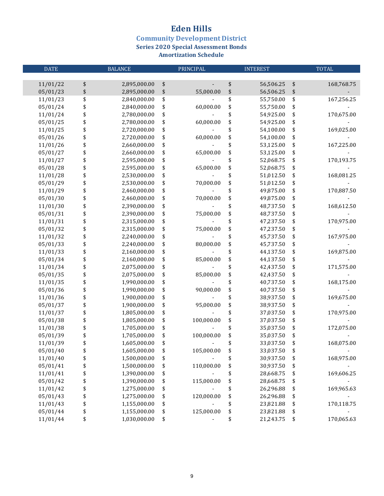**Community Development District** 

**Series 2020 Special Assessment Bonds** 

| <b>DATE</b>          |                   | <b>BALANCE</b>               |          | PRINCIPAL  | <b>INTEREST</b> |                        |          | <b>TOTAL</b> |
|----------------------|-------------------|------------------------------|----------|------------|-----------------|------------------------|----------|--------------|
|                      |                   |                              |          |            |                 |                        |          |              |
| 11/01/22             | \$                | 2,895,000.00                 | \$       |            | \$              | 56,506.25              | \$       | 168,768.75   |
| 05/01/23             | $\boldsymbol{\$}$ | 2,895,000.00                 | \$       | 55,000.00  | \$              | 56,506.25              | \$       |              |
| 11/01/23             | \$                | 2,840,000.00                 | \$       |            | \$              | 55,750.00              | \$       | 167,256.25   |
| 05/01/24             | \$                | 2,840,000.00                 | \$       | 60,000.00  | \$              | 55,750.00              | \$       |              |
| 11/01/24             | \$<br>\$          | 2,780,000.00                 | \$       |            | \$              | 54,925.00              | \$       | 170,675.00   |
| 05/01/25             |                   | 2,780,000.00                 | \$       | 60,000.00  | \$              | 54,925.00              | \$       |              |
| 11/01/25             | \$                | 2,720,000.00                 | \$       |            | \$              | 54,100.00              | \$       | 169,025.00   |
| 05/01/26             | \$                | 2,720,000.00                 | \$       | 60,000.00  | \$              | 54,100.00              | \$       |              |
| 11/01/26             | \$                | 2,660,000.00                 | \$       |            | \$              | 53,125.00              | \$       | 167,225.00   |
| 05/01/27             | \$                | 2,660,000.00                 | \$       | 65,000.00  | \$              | 53,125.00              | \$       |              |
| 11/01/27             | \$                | 2,595,000.00                 | \$       |            | \$              | 52,068.75              | \$       | 170,193.75   |
| 05/01/28             | \$                | 2,595,000.00                 | \$       | 65,000.00  | \$              | 52,068.75              | \$       |              |
| 11/01/28             | \$                | 2,530,000.00                 | \$       |            | \$              | 51,012.50              | \$       | 168,081.25   |
| 05/01/29             | \$                | 2,530,000.00                 | \$       | 70,000.00  | \$              | 51,012.50              | \$       |              |
| 11/01/29             | \$                | 2,460,000.00                 | \$       |            | \$              | 49,875.00              | \$       | 170,887.50   |
| 05/01/30             | \$                | 2,460,000.00                 | \$       | 70,000.00  | \$              | 49,875.00              | \$       |              |
| 11/01/30             | \$                | 2,390,000.00                 | \$       |            | \$              | 48,737.50              | \$       | 168,612.50   |
| 05/01/31             | \$                | 2,390,000.00                 | \$       | 75,000.00  | \$              | 48,737.50              | \$       |              |
| 11/01/31             | \$                | 2,315,000.00                 | \$       |            | \$              | 47,237.50              | \$       | 170,975.00   |
| 05/01/32             | \$                | 2,315,000.00                 | \$       | 75,000.00  | \$              | 47,237.50              | \$       |              |
| 11/01/32             | \$                | 2,240,000.00                 | \$       |            | \$              | 45,737.50              | \$       | 167,975.00   |
| 05/01/33             | \$                | 2,240,000.00                 | \$       | 80,000.00  | \$              | 45,737.50              | \$       |              |
| 11/01/33             | \$                | 2,160,000.00                 | \$       |            | \$              | 44,137.50              | \$       | 169,875.00   |
| 05/01/34             | \$                | 2,160,000.00                 | \$       | 85,000.00  | \$              | 44,137.50              | \$       |              |
| 11/01/34             | \$                | 2,075,000.00                 | \$       |            | \$              | 42,437.50              | \$       | 171,575.00   |
| 05/01/35             | \$                | 2,075,000.00                 | \$       | 85,000.00  | \$              | 42,437.50              | \$       |              |
| 11/01/35             | \$                | 1,990,000.00                 | \$       |            | \$              | 40,737.50              | \$       | 168,175.00   |
| 05/01/36             | \$                | 1,990,000.00                 | \$       | 90,000.00  | \$              | 40,737.50              | \$       |              |
| 11/01/36             | \$                | 1,900,000.00                 | \$       |            | \$              | 38,937.50              | \$       | 169,675.00   |
| 05/01/37             | \$                | 1,900,000.00                 | \$       | 95,000.00  | \$              | 38,937.50              | \$       |              |
| 11/01/37             | \$                | 1,805,000.00                 | \$       |            | \$              | 37,037.50              | \$       | 170,975.00   |
| 05/01/38             | \$                | 1,805,000.00                 | \$       | 100,000.00 | \$              | 37,037.50              | \$       |              |
| 11/01/38             | \$                | 1,705,000.00                 | \$       |            | \$              | 35,037.50              | \$       | 172,075.00   |
| 05/01/39             | \$<br>\$          | 1,705,000.00                 | \$       | 100,000.00 | \$              | 35,037.50              | \$       |              |
| 11/01/39             |                   | 1,605,000.00                 |          |            |                 | 33,037.50              | \$       | 168,075.00   |
| 05/01/40             | \$                | 1,605,000.00                 | \$       | 105,000.00 | \$              | 33,037.50              | \$       |              |
| 11/01/40             | \$                | 1,500,000.00                 | \$       |            | \$              | 30,937.50              | \$       | 168,975.00   |
| 05/01/41             | \$                | 1,500,000.00                 | \$       | 110,000.00 | \$              | 30,937.50              | \$       |              |
| 11/01/41<br>05/01/42 | \$<br>\$          | 1,390,000.00<br>1,390,000.00 | \$       | 115,000.00 | \$              | 28,668.75<br>28,668.75 | \$       | 169,606.25   |
| 11/01/42             | \$                | 1,275,000.00                 | \$       |            | \$<br>\$        | 26,296.88              | \$       | 169,965.63   |
| 05/01/43             | \$                | 1,275,000.00                 | \$<br>\$ | 120,000.00 | \$              | 26,296.88              | \$<br>\$ |              |
| 11/01/43             | \$                | 1,155,000.00                 | \$       |            | \$              | 23,821.88              | \$       | 170,118.75   |
| 05/01/44             | \$                | 1,155,000.00                 | \$       | 125,000.00 | \$              | 23,821.88              | \$       |              |
| 11/01/44             | \$                | 1,030,000.00                 | \$       |            | \$              | 21,243.75              | \$       | 170,065.63   |
|                      |                   |                              |          |            |                 |                        |          |              |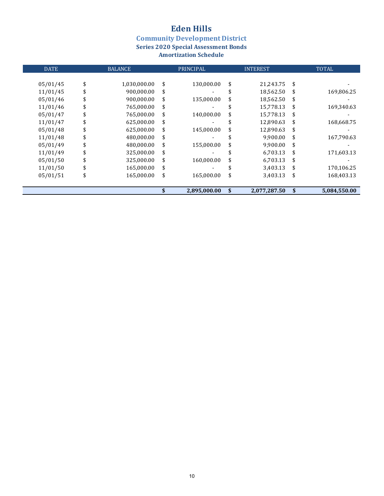**Community Development District** 

**Series 2020 Special Assessment Bonds** 

| <b>DATE</b> | <b>BALANCE</b>     | PRINCIPAL        | <b>INTEREST</b>    | <b>TOTAL</b>       |
|-------------|--------------------|------------------|--------------------|--------------------|
|             |                    |                  |                    |                    |
| 05/01/45    | \$<br>1,030,000.00 | \$<br>130,000.00 | \$<br>21,243.75    | \$                 |
| 11/01/45    | \$<br>900,000.00   | \$               | 18,562.50          | \$<br>169,806.25   |
| 05/01/46    | \$<br>900,000.00   | \$<br>135,000.00 | \$<br>18,562.50    | \$                 |
| 11/01/46    | 765,000.00         | \$               | 15,778.13          | \$<br>169,340.63   |
| 05/01/47    | \$<br>765,000.00   | \$<br>140,000.00 | \$<br>15,778.13    | \$                 |
| 11/01/47    | \$<br>625,000.00   | \$               | 12,890.63          | \$<br>168,668.75   |
| 05/01/48    | \$<br>625,000.00   | \$<br>145,000.00 | \$<br>12,890.63    | \$                 |
| 11/01/48    | \$<br>480,000.00   | \$               | 9,900.00           | \$<br>167,790.63   |
| 05/01/49    | \$<br>480,000.00   | \$<br>155,000.00 | \$<br>9,900.00     | \$                 |
| 11/01/49    | \$<br>325,000.00   | \$               | 6,703.13           | \$<br>171,603.13   |
| 05/01/50    | \$<br>325,000.00   | \$<br>160,000.00 | \$<br>6,703.13     | \$                 |
| 11/01/50    | \$<br>165,000.00   | \$               | 3,403.13           | \$<br>170,106.25   |
| 05/01/51    | \$<br>165,000.00   | \$<br>165,000.00 | \$<br>3,403.13     | \$<br>168,403.13   |
|             |                    | 2,895,000.00     | \$<br>2,077,287.50 | \$<br>5,084,550.00 |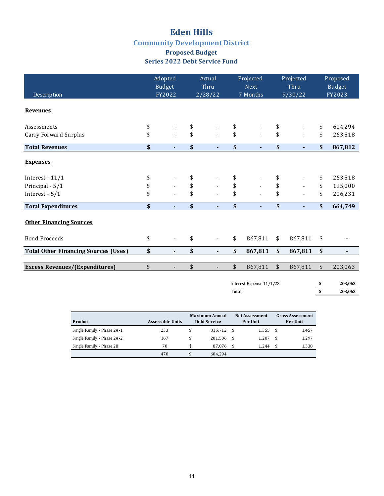## **Eden Hills Community Development District**

### **Proposed Budget Series 2022 Debt Service Fund**

| Description                                 | Adopted<br>Budget<br>FY2022    | Actual<br>Thru<br>2/28/22      |              | Projected<br><b>Next</b><br>7 Months |                                 | Projected<br>Thru<br>9/30/22 | Proposed<br><b>Budget</b><br>FY2023 |
|---------------------------------------------|--------------------------------|--------------------------------|--------------|--------------------------------------|---------------------------------|------------------------------|-------------------------------------|
| <b>Revenues</b>                             |                                |                                |              |                                      |                                 |                              |                                     |
| Assessments                                 | \$                             | \$                             | \$           |                                      | \$                              |                              | \$<br>604,294                       |
| <b>Carry Forward Surplus</b>                | \$                             | \$                             | \$           |                                      | \$                              |                              | \$<br>263,518                       |
| <b>Total Revenues</b>                       | \$<br>$\blacksquare$           | \$                             | \$           | ÷                                    | $\boldsymbol{\hat{\mathsf{s}}}$ | $\blacksquare$               | \$<br>867,812                       |
| <b>Expenses</b>                             |                                |                                |              |                                      |                                 |                              |                                     |
| Interest - $11/1$                           | \$                             | \$                             | \$           |                                      | \$                              |                              | \$<br>263,518                       |
| Principal - 5/1                             | \$                             | \$                             | \$           |                                      | \$                              |                              | \$<br>195,000                       |
| Interest - $5/1$                            | \$                             | \$                             | \$           |                                      | \$                              |                              | \$<br>206,231                       |
| <b>Total Expenditures</b>                   | \$<br>ä,                       | \$                             | \$           | ٠                                    | \$                              | $\blacksquare$               | \$<br>664,749                       |
| <b>Other Financing Sources</b>              |                                |                                |              |                                      |                                 |                              |                                     |
| <b>Bond Proceeds</b>                        | \$                             | \$                             | \$           | 867,811                              | \$                              | 867,811                      | \$                                  |
| <b>Total Other Financing Sources (Uses)</b> | \$<br>$\overline{\phantom{a}}$ | \$<br>$\overline{\phantom{a}}$ | \$           | 867,811                              | \$                              | 867,811                      | \$                                  |
| <b>Excess Revenues/(Expenditures)</b>       | \$<br>$\overline{a}$           | \$                             | \$           | 867,811                              | $\sqrt{2}$                      | 867,811                      | \$<br>203,063                       |
|                                             |                                | Interest Expense 11/1/23       |              |                                      |                                 | \$<br>203,063                |                                     |
|                                             |                                |                                | <b>Total</b> | \$<br>203,063                        |                                 |                              |                                     |

|                            |                         | <b>Maximum Annual</b> |         |                 | <b>Net Assessment</b> | <b>Gross Assessment</b> |       |  |
|----------------------------|-------------------------|-----------------------|---------|-----------------|-----------------------|-------------------------|-------|--|
| Product                    | <b>Assessable Units</b> | <b>Debt Service</b>   |         | <b>Per Unit</b> |                       | Per Unit                |       |  |
| Single Family - Phase 2A-1 | 233                     | \$                    | 315.712 | - \$            | 1,355                 | - \$                    | 1,457 |  |
| Single Family - Phase 2A-2 | 167                     | \$                    | 201.506 | - \$            | 1.207                 | - \$                    | 1,297 |  |
| Single Family - Phase 2B   | 70                      | \$                    | 87.076  | - \$            | 1.244                 |                         | 1.338 |  |
|                            | 470                     |                       | 604.294 |                 |                       |                         |       |  |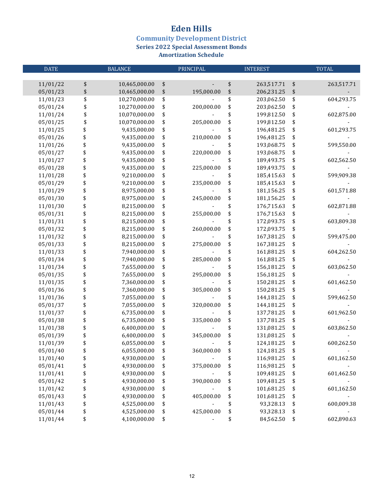**Community Development District** 

**Series 2022 Special Assessment Bonds** 

| <b>DATE</b>          |          | <b>BALANCE</b>               |          | PRINCIPAL  | <b>INTEREST</b> |                          |          | <b>TOTAL</b> |
|----------------------|----------|------------------------------|----------|------------|-----------------|--------------------------|----------|--------------|
|                      |          |                              |          |            |                 |                          |          |              |
| 11/01/22             | \$       | 10,465,000.00                | \$       |            | \$              | 263,517.71               | \$       | 263,517.71   |
| 05/01/23             | \$       | 10,465,000.00                | \$       | 195,000.00 | \$              | 206,231.25               | \$       |              |
| 11/01/23             | \$       | 10,270,000.00                | \$       |            | \$              | 203,062.50               | \$       | 604,293.75   |
| 05/01/24             | \$       | 10,270,000.00                | \$       | 200,000.00 | \$              | 203,062.50               | \$       |              |
| 11/01/24             | \$       | 10,070,000.00                | \$       |            | \$              | 199,812.50               | \$       | 602,875.00   |
| 05/01/25             | \$       | 10,070,000.00                | \$       | 205,000.00 | \$              | 199,812.50               | \$       |              |
| 11/01/25             | \$       | 9,435,000.00                 | \$       |            | \$              | 196,481.25               | \$       | 601,293.75   |
| 05/01/26             | \$       | 9,435,000.00                 | \$       | 210,000.00 | \$              | 196,481.25               | \$       |              |
| 11/01/26             | \$       | 9,435,000.00                 | \$       |            | \$              | 193,068.75               | \$       | 599,550.00   |
| 05/01/27             | \$       | 9,435,000.00                 | \$       | 220,000.00 | \$              | 193,068.75               | \$       |              |
| 11/01/27             | \$       | 9,435,000.00                 | \$       |            | \$              | 189,493.75               | \$       | 602,562.50   |
| 05/01/28             | \$       | 9,435,000.00                 | \$       | 225,000.00 | \$              | 189,493.75               | \$       |              |
| 11/01/28             | \$       | 9,210,000.00                 | \$       |            | \$              | 185,415.63               | \$       | 599,909.38   |
| 05/01/29             | \$       | 9,210,000.00                 | \$       | 235,000.00 | \$              | 185,415.63               | \$       |              |
| 11/01/29             | \$       | 8,975,000.00                 | \$       |            | \$              | 181,156.25               | \$       | 601,571.88   |
| 05/01/30             | \$       | 8,975,000.00                 | \$       | 245,000.00 | \$              | 181,156.25               | \$       |              |
| 11/01/30             | \$       | 8,215,000.00                 | \$       |            | \$              | 176,715.63               | \$       | 602,871.88   |
| 05/01/31             | \$       | 8,215,000.00                 | \$       | 255,000.00 | \$              | 176,715.63               | \$       |              |
| 11/01/31             | \$       | 8,215,000.00                 | \$       |            | \$              | 172,093.75               | \$       | 603,809.38   |
| 05/01/32             | \$       | 8,215,000.00                 | \$       | 260,000.00 | \$              | 172,093.75               | \$       |              |
| 11/01/32             | \$       | 8,215,000.00                 | \$       |            | \$              | 167,381.25               | \$       | 599,475.00   |
| 05/01/33             | \$       | 8,215,000.00                 | \$       | 275,000.00 | \$              | 167,381.25               | \$       |              |
| 11/01/33             | \$       | 7,940,000.00                 | \$       |            | \$              | 161,881.25               | \$       | 604,262.50   |
| 05/01/34<br>11/01/34 | \$<br>\$ | 7,940,000.00                 | \$       | 285,000.00 | \$<br>\$        | 161,881.25               | \$       | 603,062.50   |
| 05/01/35             | \$       | 7,655,000.00<br>7,655,000.00 | \$<br>\$ | 295,000.00 | \$              | 156,181.25<br>156,181.25 | \$<br>\$ |              |
| 11/01/35             | \$       | 7,360,000.00                 | \$       |            | \$              | 150,281.25               | \$       | 601,462.50   |
| 05/01/36             | \$       | 7,360,000.00                 | \$       | 305,000.00 | \$              | 150,281.25               | \$       |              |
| 11/01/36             | \$       | 7,055,000.00                 | \$       |            | \$              | 144,181.25               | \$       | 599,462.50   |
| 05/01/37             | \$       | 7,055,000.00                 | \$       | 320,000.00 | \$              | 144,181.25               | \$       |              |
| 11/01/37             | \$       | 6,735,000.00                 | \$       |            | \$              | 137,781.25               | \$       | 601,962.50   |
| 05/01/38             | \$       | 6,735,000.00                 | \$       | 335,000.00 | \$              | 137,781.25               | \$       |              |
| 11/01/38             | \$       | 6,400,000.00                 | \$       |            | \$              | 131,081.25               | \$       | 603,862.50   |
| 05/01/39             | \$       | 6,400,000.00                 | \$       | 345,000.00 | \$              | 131,081.25               | \$       |              |
| 11/01/39             | \$       | 6,055,000.00                 | \$       |            | \$              | 124,181.25               | \$       | 600,262.50   |
| 05/01/40             | \$       | 6,055,000.00                 | \$       | 360,000.00 | \$              | 124,181.25               | \$       |              |
| 11/01/40             | \$       | 4,930,000.00                 | \$       |            | \$              | 116,981.25               | \$       | 601,162.50   |
| 05/01/41             | \$       | 4,930,000.00                 | \$       | 375,000.00 | \$              | 116,981.25               | \$       |              |
| 11/01/41             | \$       | 4,930,000.00                 | \$       |            | \$              | 109,481.25               | \$       | 601,462.50   |
| 05/01/42             | \$       | 4,930,000.00                 | \$       | 390,000.00 | \$              | 109,481.25               | \$       |              |
| 11/01/42             | \$       | 4,930,000.00                 | \$       |            | \$              | 101,681.25               | \$       | 601,162.50   |
| 05/01/43             | \$       | 4,930,000.00                 | \$       | 405,000.00 | \$              | 101,681.25               | \$       |              |
| 11/01/43             | \$       | 4,525,000.00                 | \$       |            | \$              | 93,328.13                | \$       | 600,009.38   |
| 05/01/44             | \$       | 4,525,000.00                 | \$       | 425,000.00 | \$              | 93,328.13                | \$       |              |
| 11/01/44             | \$       | 4,100,000.00                 | \$       |            | \$              | 84,562.50                | \$       | 602,890.63   |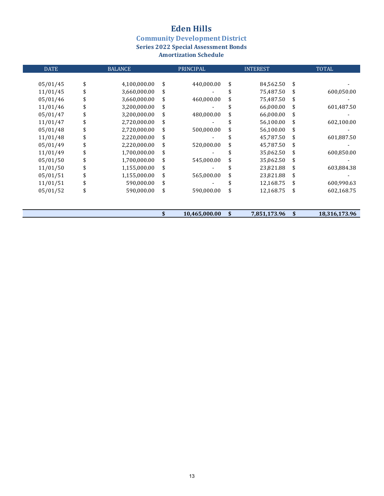**Community Development District** 

**Series 2022 Special Assessment Bonds** 

| <b>DATE</b> | <b>BALANCE</b>     | PRINCIPAL           | <b>INTEREST</b>    | <b>TOTAL</b>        |
|-------------|--------------------|---------------------|--------------------|---------------------|
|             |                    |                     |                    |                     |
| 05/01/45    | \$<br>4,100,000.00 | \$<br>440,000.00    | \$<br>84,562.50    | \$                  |
| 11/01/45    | \$<br>3,660,000.00 | \$                  | 75,487.50          | \$<br>600,050.00    |
| 05/01/46    | \$<br>3,660,000.00 | \$<br>460,000.00    | \$<br>75,487.50    | \$                  |
| 11/01/46    | \$<br>3,200,000.00 | \$                  | \$<br>66,000.00    | \$<br>601,487.50    |
| 05/01/47    | \$<br>3,200,000.00 | \$<br>480,000.00    | \$<br>66,000.00    | \$                  |
| 11/01/47    | \$<br>2,720,000.00 | \$                  | \$<br>56,100.00    | \$<br>602,100.00    |
| 05/01/48    | \$<br>2,720,000.00 | \$<br>500,000.00    | \$<br>56,100.00    | \$                  |
| 11/01/48    | \$<br>2,220,000.00 | \$                  | 45,787.50          | \$<br>601,887.50    |
| 05/01/49    | \$<br>2,220,000.00 | \$<br>520,000.00    | \$<br>45,787.50    | \$                  |
| 11/01/49    | \$<br>1,700,000.00 | \$                  | 35,062.50          | \$<br>600,850.00    |
| 05/01/50    | \$<br>1,700,000.00 | \$<br>545,000.00    | \$<br>35,062.50    | \$                  |
| 11/01/50    | \$<br>1,155,000.00 | \$                  | 23,821.88          | \$<br>603,884.38    |
| 05/01/51    | \$<br>1,155,000.00 | \$<br>565,000.00    | \$<br>23,821.88    | \$                  |
| 11/01/51    | \$<br>590,000.00   | \$                  | 12,168.75          | \$<br>600,990.63    |
| 05/01/52    | \$<br>590,000.00   | \$<br>590,000.00    | \$<br>12,168.75    | \$<br>602,168.75    |
|             |                    |                     |                    |                     |
|             |                    | \$<br>10,465,000.00 | \$<br>7,851,173.96 | \$<br>18,316,173.96 |